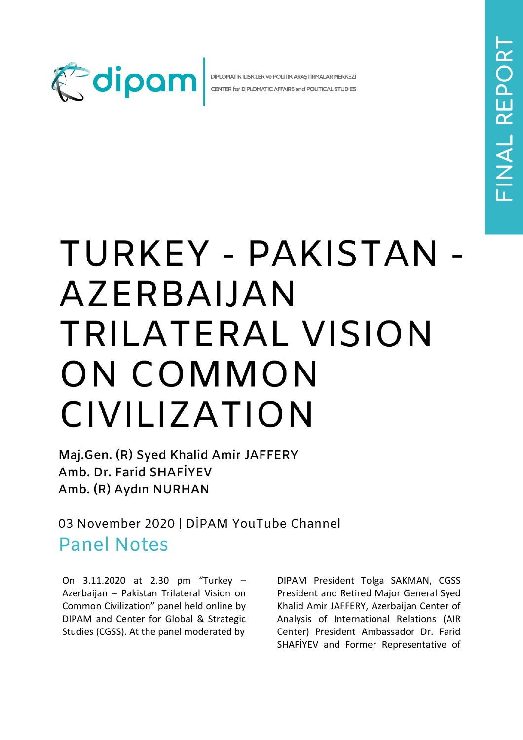

DİPLOMATİK İLİŞKİLER ve POLİTİK ARAŞTIRMALAR MERKEZİ CENTER for DIPLOMATIC AFFAIRS and POLITICAL STUDIES

## TURKEY - PAKISTAN -**AZERBAIJAN** TRILATERAL VISION ON COMMON CIVILIZATION

Maj.Gen. (R) Syed Khalid Amir JAFFERY Amb. Dr. Farid SHAFİYEV Amb. (R) Aydın NURHAN

03 November 2020 | DIPAM YouTube Channel **Panel Notes** 

On 3.11.2020 at 2.30 pm "Turkey – Azerbaijan – Pakistan Trilateral Vision on Common Civilization" panel held online by DIPAM and Center for Global & Strategic Studies (CGSS). At the panel moderated by

DIPAM President Tolga SAKMAN, CGSS President and Retired Major General Syed Khalid Amir JAFFERY, Azerbaijan Center of Analysis of International Relations (AIR Center) President Ambassador Dr. Farid SHAFİYEV and Former Representative of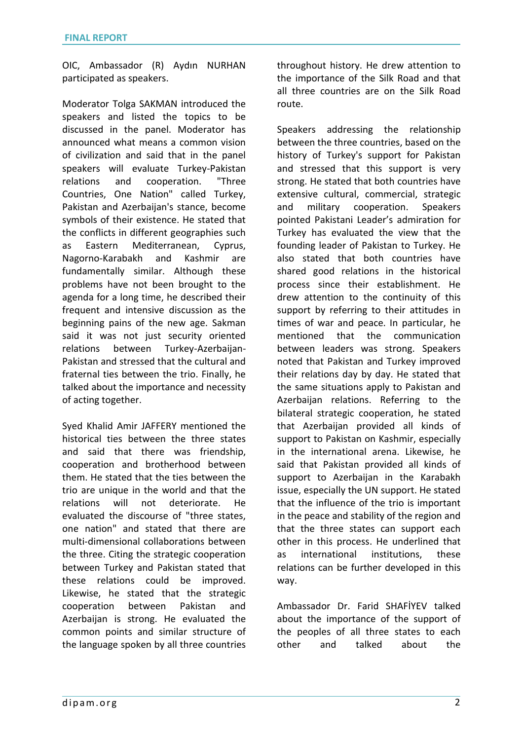OIC, Ambassador (R) Aydın NURHAN participated as speakers.

Moderator Tolga SAKMAN introduced the speakers and listed the topics to be discussed in the panel. Moderator has announced what means a common vision of civilization and said that in the panel speakers will evaluate Turkey-Pakistan relations and cooperation. "Three Countries, One Nation" called Turkey, Pakistan and Azerbaijan's stance, become symbols of their existence. He stated that the conflicts in different geographies such as Eastern Mediterranean, Cyprus, Nagorno-Karabakh and Kashmir are fundamentally similar. Although these problems have not been brought to the agenda for a long time, he described their frequent and intensive discussion as the beginning pains of the new age. Sakman said it was not just security oriented relations between Turkey-Azerbaijan-Pakistan and stressed that the cultural and fraternal ties between the trio. Finally, he talked about the importance and necessity of acting together.

Syed Khalid Amir JAFFERY mentioned the historical ties between the three states and said that there was friendship, cooperation and brotherhood between them. He stated that the ties between the trio are unique in the world and that the relations will not deteriorate. He evaluated the discourse of "three states, one nation" and stated that there are multi-dimensional collaborations between the three. Citing the strategic cooperation between Turkey and Pakistan stated that these relations could be improved. Likewise, he stated that the strategic cooperation between Pakistan and Azerbaijan is strong. He evaluated the common points and similar structure of the language spoken by all three countries throughout history. He drew attention to the importance of the Silk Road and that all three countries are on the Silk Road route.

Speakers addressing the relationship between the three countries, based on the history of Turkey's support for Pakistan and stressed that this support is very strong. He stated that both countries have extensive cultural, commercial, strategic and military cooperation. Speakers pointed Pakistani Leader's admiration for Turkey has evaluated the view that the founding leader of Pakistan to Turkey. He also stated that both countries have shared good relations in the historical process since their establishment. He drew attention to the continuity of this support by referring to their attitudes in times of war and peace. In particular, he mentioned that the communication between leaders was strong. Speakers noted that Pakistan and Turkey improved their relations day by day. He stated that the same situations apply to Pakistan and Azerbaijan relations. Referring to the bilateral strategic cooperation, he stated that Azerbaijan provided all kinds of support to Pakistan on Kashmir, especially in the international arena. Likewise, he said that Pakistan provided all kinds of support to Azerbaijan in the Karabakh issue, especially the UN support. He stated that the influence of the trio is important in the peace and stability of the region and that the three states can support each other in this process. He underlined that as international institutions, these relations can be further developed in this way.

Ambassador Dr. Farid SHAFİYEV talked about the importance of the support of the peoples of all three states to each other and talked about the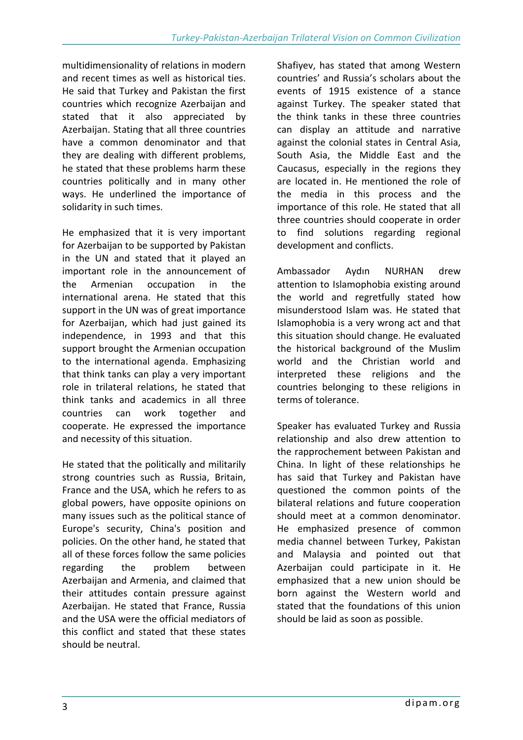multidimensionality of relations in modern and recent times as well as historical ties. He said that Turkey and Pakistan the first countries which recognize Azerbaijan and stated that it also appreciated by Azerbaijan. Stating that all three countries have a common denominator and that they are dealing with different problems, he stated that these problems harm these countries politically and in many other ways. He underlined the importance of solidarity in such times.

He emphasized that it is very important for Azerbaijan to be supported by Pakistan in the UN and stated that it played an important role in the announcement of the Armenian occupation in the international arena. He stated that this support in the UN was of great importance for Azerbaijan, which had just gained its independence, in 1993 and that this support brought the Armenian occupation to the international agenda. Emphasizing that think tanks can play a very important role in trilateral relations, he stated that think tanks and academics in all three countries can work together and cooperate. He expressed the importance and necessity of this situation.

He stated that the politically and militarily strong countries such as Russia, Britain, France and the USA, which he refers to as global powers, have opposite opinions on many issues such as the political stance of Europe's security, China's position and policies. On the other hand, he stated that all of these forces follow the same policies regarding the problem between Azerbaijan and Armenia, and claimed that their attitudes contain pressure against Azerbaijan. He stated that France, Russia and the USA were the official mediators of this conflict and stated that these states should be neutral.

Shafiyev, has stated that among Western countries' and Russia's scholars about the events of 1915 existence of a stance against Turkey. The speaker stated that the think tanks in these three countries can display an attitude and narrative against the colonial states in Central Asia, South Asia, the Middle East and the Caucasus, especially in the regions they are located in. He mentioned the role of the media in this process and the importance of this role. He stated that all three countries should cooperate in order to find solutions regarding regional development and conflicts.

Ambassador Aydın NURHAN drew attention to Islamophobia existing around the world and regretfully stated how misunderstood Islam was. He stated that Islamophobia is a very wrong act and that this situation should change. He evaluated the historical background of the Muslim world and the Christian world and interpreted these religions and the countries belonging to these religions in terms of tolerance.

Speaker has evaluated Turkey and Russia relationship and also drew attention to the rapprochement between Pakistan and China. In light of these relationships he has said that Turkey and Pakistan have questioned the common points of the bilateral relations and future cooperation should meet at a common denominator. He emphasized presence of common media channel between Turkey, Pakistan and Malaysia and pointed out that Azerbaijan could participate in it. He emphasized that a new union should be born against the Western world and stated that the foundations of this union should be laid as soon as possible.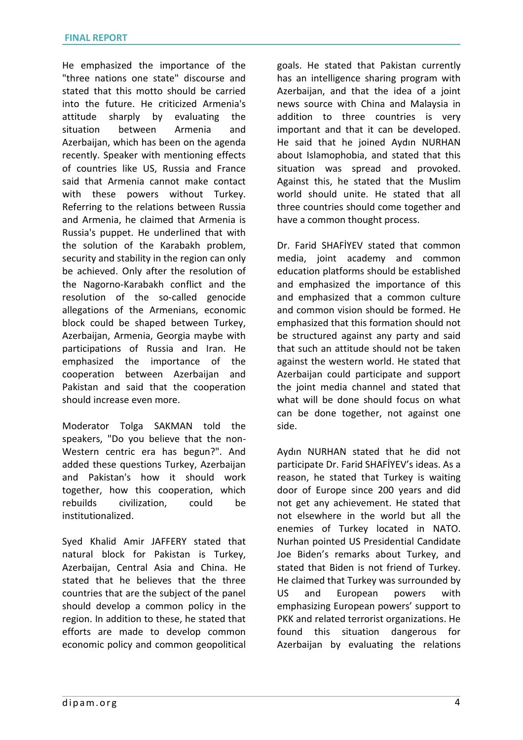He emphasized the importance of the "three nations one state" discourse and stated that this motto should be carried into the future. He criticized Armenia's attitude sharply by evaluating the situation between Armenia and Azerbaijan, which has been on the agenda recently. Speaker with mentioning effects of countries like US, Russia and France said that Armenia cannot make contact with these powers without Turkey. Referring to the relations between Russia and Armenia, he claimed that Armenia is Russia's puppet. He underlined that with the solution of the Karabakh problem, security and stability in the region can only be achieved. Only after the resolution of the Nagorno-Karabakh conflict and the resolution of the so-called genocide allegations of the Armenians, economic block could be shaped between Turkey, Azerbaijan, Armenia, Georgia maybe with participations of Russia and Iran. He emphasized the importance of the cooperation between Azerbaijan and Pakistan and said that the cooperation should increase even more.

Moderator Tolga SAKMAN told the speakers, "Do you believe that the non-Western centric era has begun?". And added these questions Turkey, Azerbaijan and Pakistan's how it should work together, how this cooperation, which rebuilds civilization, could be institutionalized.

Syed Khalid Amir JAFFERY stated that natural block for Pakistan is Turkey, Azerbaijan, Central Asia and China. He stated that he believes that the three countries that are the subject of the panel should develop a common policy in the region. In addition to these, he stated that efforts are made to develop common economic policy and common geopolitical

goals. He stated that Pakistan currently has an intelligence sharing program with Azerbaijan, and that the idea of a joint news source with China and Malaysia in addition to three countries is very important and that it can be developed. He said that he joined Aydın NURHAN about Islamophobia, and stated that this situation was spread and provoked. Against this, he stated that the Muslim world should unite. He stated that all three countries should come together and have a common thought process.

Dr. Farid SHAFİYEV stated that common media, joint academy and common education platforms should be established and emphasized the importance of this and emphasized that a common culture and common vision should be formed. He emphasized that this formation should not be structured against any party and said that such an attitude should not be taken against the western world. He stated that Azerbaijan could participate and support the joint media channel and stated that what will be done should focus on what can be done together, not against one side.

Aydın NURHAN stated that he did not participate Dr. Farid SHAFİYEV's ideas. As a reason, he stated that Turkey is waiting door of Europe since 200 years and did not get any achievement. He stated that not elsewhere in the world but all the enemies of Turkey located in NATO. Nurhan pointed US Presidential Candidate Joe Biden's remarks about Turkey, and stated that Biden is not friend of Turkey. He claimed that Turkey was surrounded by US and European powers with emphasizing European powers' support to PKK and related terrorist organizations. He found this situation dangerous for Azerbaijan by evaluating the relations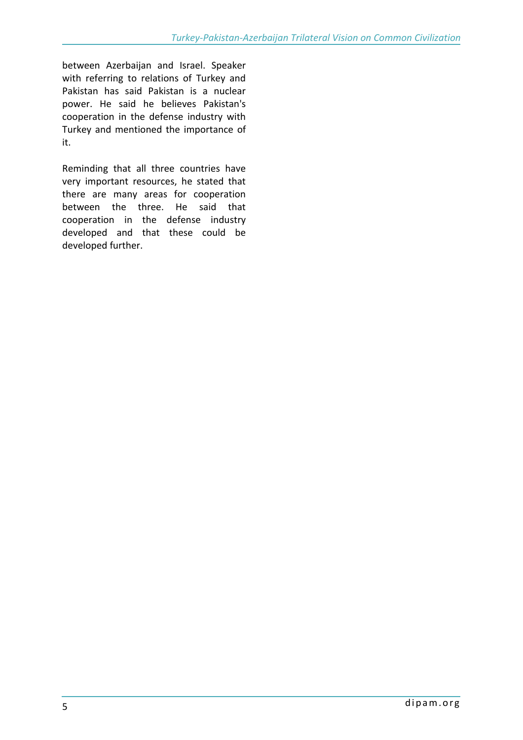between Azerbaijan and Israel. Speaker with referring to relations of Turkey and Pakistan has said Pakistan is a nuclear power. He said he believes Pakistan's cooperation in the defense industry with Turkey and mentioned the importance of it.

Reminding that all three countries have very important resources, he stated that there are many areas for cooperation between the three. He said that cooperation in the defense industry developed and that these could be developed further.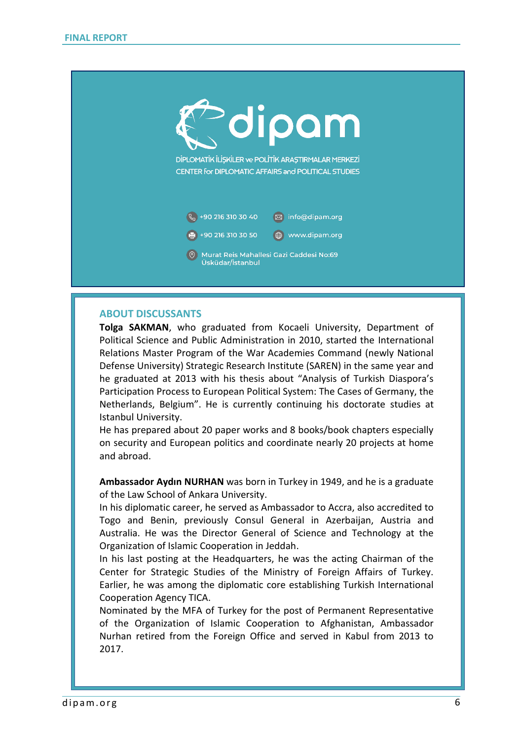

## **ABOUT DISCUSSANTS**

**Tolga SAKMAN**, who graduated from Kocaeli University, Department of Political Science and Public Administration in 2010, started the International Relations Master Program of the War Academies Command (newly National Defense University) Strategic Research Institute (SAREN) in the same year and he graduated at 2013 with his thesis about "Analysis of Turkish Diaspora's Participation Process to European Political System: The Cases of Germany, the Netherlands, Belgium". He is currently continuing his doctorate studies at Istanbul University.

He has prepared about 20 paper works and 8 books/book chapters especially on security and European politics and coordinate nearly 20 projects at home and abroad.

**Ambassador Aydın NURHAN** was born in Turkey in 1949, and he is a graduate of the Law School of Ankara University.

In his diplomatic career, he served as Ambassador to Accra, also accredited to Togo and Benin, previously Consul General in Azerbaijan, Austria and Australia. He was the Director General of Science and Technology at the Organization of Islamic Cooperation in Jeddah.

In his last posting at the Headquarters, he was the acting Chairman of the Center for Strategic Studies of the Ministry of Foreign Affairs of Turkey. Earlier, he was among the diplomatic core establishing Turkish International Cooperation Agency TICA.

Nominated by the MFA of Turkey for the post of Permanent Representative of the Organization of Islamic Cooperation to Afghanistan, Ambassador Nurhan retired from the Foreign Office and served in Kabul from 2013 to 2017.